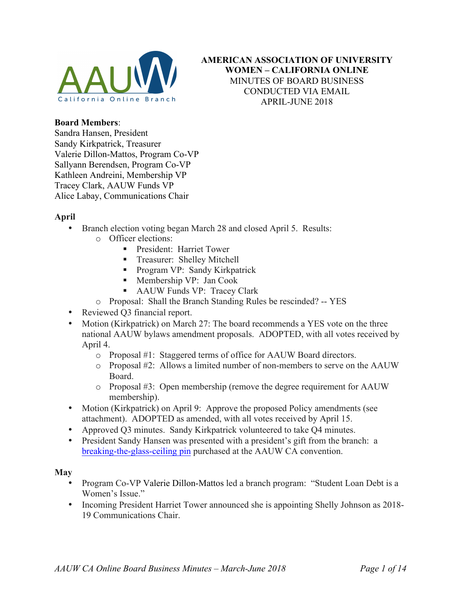

## **AMERICAN ASSOCIATION OF UNIVERSITY WOMEN – CALIFORNIA ONLINE** MINUTES OF BOARD BUSINESS CONDUCTED VIA EMAIL APRIL-JUNE 2018

#### **Board Members**:

Sandra Hansen, President Sandy Kirkpatrick, Treasurer Valerie Dillon-Mattos, Program Co-VP Sallyann Berendsen, Program Co-VP Kathleen Andreini, Membership VP Tracey Clark, AAUW Funds VP Alice Labay, Communications Chair

#### **April**

- Branch election voting began March 28 and closed April 5. Results:
	- o Officer elections:
		- **President: Harriet Tower**
		- ! Treasurer: Shelley Mitchell
		- **Program VP: Sandy Kirkpatrick**
		- ! Membership VP: Jan Cook
		- ! AAUW Funds VP: Tracey Clark
	- o Proposal: Shall the Branch Standing Rules be rescinded? -- YES
- Reviewed O3 financial report.
- Motion (Kirkpatrick) on March 27: The board recommends a YES vote on the three national AAUW bylaws amendment proposals. ADOPTED, with all votes received by April 4.
	- o Proposal #1: Staggered terms of office for AAUW Board directors.
	- o Proposal #2: Allows a limited number of non-members to serve on the AAUW Board.
	- o Proposal #3: Open membership (remove the degree requirement for AAUW membership).
- Motion (Kirkpatrick) on April 9: Approve the proposed Policy amendments (see attachment). ADOPTED as amended, with all votes received by April 15.
- Approved Q3 minutes. Sandy Kirkpatrick volunteered to take Q4 minutes.
- President Sandy Hansen was presented with a president's gift from the branch: a breaking-the-glass-ceiling pin purchased at the AAUW CA convention.

#### **May**

- Program Co-VP Valerie Dillon-Mattos led a branch program: "Student Loan Debt is a Women's Issue."
- Incoming President Harriet Tower announced she is appointing Shelly Johnson as 2018- 19 Communications Chair.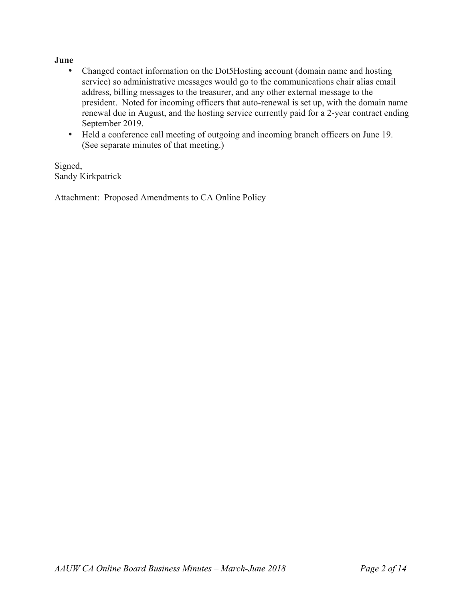#### **June**

- Changed contact information on the Dot5Hosting account (domain name and hosting service) so administrative messages would go to the communications chair alias email address, billing messages to the treasurer, and any other external message to the president. Noted for incoming officers that auto-renewal is set up, with the domain name renewal due in August, and the hosting service currently paid for a 2-year contract ending September 2019.
- Held a conference call meeting of outgoing and incoming branch officers on June 19. (See separate minutes of that meeting.)

Signed, Sandy Kirkpatrick

Attachment: Proposed Amendments to CA Online Policy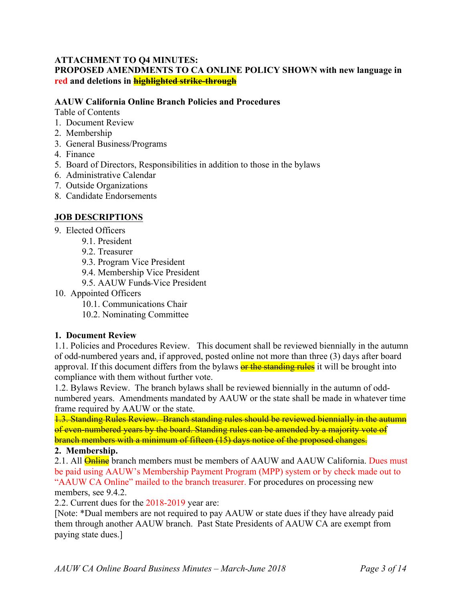#### **ATTACHMENT TO Q4 MINUTES: PROPOSED AMENDMENTS TO CA ONLINE POLICY SHOWN with new language in red and deletions in highlighted strike-through**

### **AAUW California Online Branch Policies and Procedures**

Table of Contents

- 1. Document Review
- 2. Membership
- 3. General Business/Programs
- 4. Finance
- 5. Board of Directors, Responsibilities in addition to those in the bylaws
- 6. Administrative Calendar
- 7. Outside Organizations
- 8. Candidate Endorsements

### **JOB DESCRIPTIONS**

- 9. Elected Officers
	- 9.1. President
	- 9.2. Treasurer
	- 9.3. Program Vice President
	- 9.4. Membership Vice President
	- 9.5. AAUW Funds-Vice President
- 10. Appointed Officers
	- 10.1. Communications Chair
	- 10.2. Nominating Committee

#### **1. Document Review**

1.1. Policies and Procedures Review. This document shall be reviewed biennially in the autumn of odd-numbered years and, if approved, posted online not more than three (3) days after board approval. If this document differs from the bylaws or the standing rules it will be brought into compliance with them without further vote.

1.2. Bylaws Review. The branch bylaws shall be reviewed biennially in the autumn of oddnumbered years. Amendments mandated by AAUW or the state shall be made in whatever time frame required by AAUW or the state.

1.3. Standing Rules Review. Branch standing rules should be reviewed biennially in the autumn of even-numbered years by the board. Standing rules can be amended by a majority vote of branch members with a minimum of fifteen (15) days notice of the proposed changes.

## **2. Membership.**

2.1. All **Online** branch members must be members of AAUW and AAUW California. Dues must be paid using AAUW's Membership Payment Program (MPP) system or by check made out to "AAUW CA Online" mailed to the branch treasurer. For procedures on processing new members, see 9.4.2.

2.2. Current dues for the 2018-2019 year are:

[Note: \*Dual members are not required to pay AAUW or state dues if they have already paid them through another AAUW branch. Past State Presidents of AAUW CA are exempt from paying state dues.]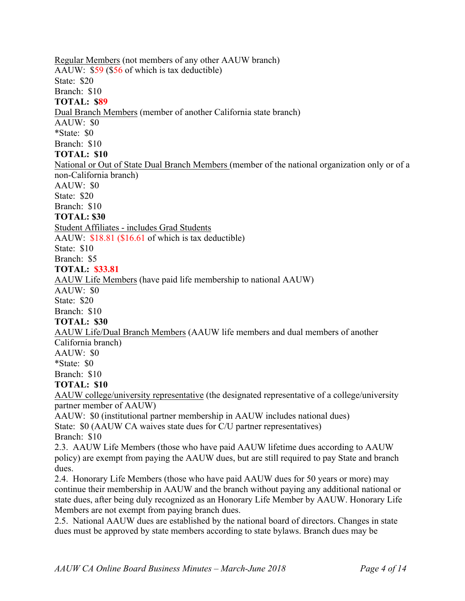## Regular Members (not members of any other AAUW branch) AAUW: \$59 (\$56 of which is tax deductible) State: \$20 Branch: \$10 **TOTAL: \$89** Dual Branch Members (member of another California state branch) AAUW: \$0 \*State: \$0 Branch: \$10 **TOTAL: \$10** National or Out of State Dual Branch Members (member of the national organization only or of a non-California branch)  $AAUW: $0$ State: \$20 Branch: \$10 **TOTAL: \$30** Student Affiliates - includes Grad Students AAUW: \$18.81 (\$16.61 of which is tax deductible) State: \$10 Branch: \$5 **TOTAL: \$33.81** AAUW Life Members (have paid life membership to national AAUW)  $AAUW: $0$ State: \$20 Branch: \$10 **TOTAL: \$30** AAUW Life/Dual Branch Members (AAUW life members and dual members of another California branch) AAUW: \$0 \*State: \$0 Branch: \$10 **TOTAL: \$10** AAUW college/university representative (the designated representative of a college/university partner member of AAUW) AAUW: \$0 (institutional partner membership in AAUW includes national dues) State: \$0 (AAUW CA waives state dues for C/U partner representatives) Branch: \$10 2.3. AAUW Life Members (those who have paid AAUW lifetime dues according to AAUW policy) are exempt from paying the AAUW dues, but are still required to pay State and branch dues.

2.4. Honorary Life Members (those who have paid AAUW dues for 50 years or more) may continue their membership in AAUW and the branch without paying any additional national or state dues, after being duly recognized as an Honorary Life Member by AAUW. Honorary Life Members are not exempt from paying branch dues.

2.5. National AAUW dues are established by the national board of directors. Changes in state dues must be approved by state members according to state bylaws. Branch dues may be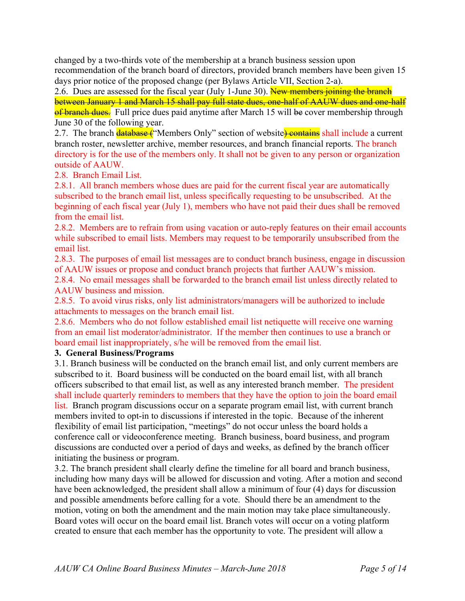changed by a two-thirds vote of the membership at a branch business session upon recommendation of the branch board of directors, provided branch members have been given 15 days prior notice of the proposed change (per Bylaws Article VII, Section 2-a).

2.6. Dues are assessed for the fiscal year (July 1-June 30). New members joining the branch between January 1 and March 15 shall pay full state dues, one-half of AAUW dues and one-half of branch dues. Full price dues paid anytime after March 15 will be cover membership through June 30 of the following year.

2.7. The branch **database** ("Members Only" section of website) contains shall include a current branch roster, newsletter archive, member resources, and branch financial reports. The branch directory is for the use of the members only. It shall not be given to any person or organization outside of AAUW.

2.8. Branch Email List.

2.8.1. All branch members whose dues are paid for the current fiscal year are automatically subscribed to the branch email list, unless specifically requesting to be unsubscribed. At the beginning of each fiscal year (July 1), members who have not paid their dues shall be removed from the email list.

2.8.2. Members are to refrain from using vacation or auto-reply features on their email accounts while subscribed to email lists. Members may request to be temporarily unsubscribed from the email list.

2.8.3. The purposes of email list messages are to conduct branch business, engage in discussion of AAUW issues or propose and conduct branch projects that further AAUW's mission.

2.8.4. No email messages shall be forwarded to the branch email list unless directly related to AAUW business and mission.

2.8.5. To avoid virus risks, only list administrators/managers will be authorized to include attachments to messages on the branch email list.

2.8.6. Members who do not follow established email list netiquette will receive one warning from an email list moderator/administrator. If the member then continues to use a branch or board email list inappropriately, s/he will be removed from the email list.

## **3. General Business/Programs**

3.1. Branch business will be conducted on the branch email list, and only current members are subscribed to it. Board business will be conducted on the board email list, with all branch officers subscribed to that email list, as well as any interested branch member. The president shall include quarterly reminders to members that they have the option to join the board email list. Branch program discussions occur on a separate program email list, with current branch members invited to opt-in to discussions if interested in the topic. Because of the inherent flexibility of email list participation, "meetings" do not occur unless the board holds a conference call or videoconference meeting. Branch business, board business, and program discussions are conducted over a period of days and weeks, as defined by the branch officer initiating the business or program.

3.2. The branch president shall clearly define the timeline for all board and branch business, including how many days will be allowed for discussion and voting. After a motion and second have been acknowledged, the president shall allow a minimum of four (4) days for discussion and possible amendments before calling for a vote. Should there be an amendment to the motion, voting on both the amendment and the main motion may take place simultaneously. Board votes will occur on the board email list. Branch votes will occur on a voting platform created to ensure that each member has the opportunity to vote. The president will allow a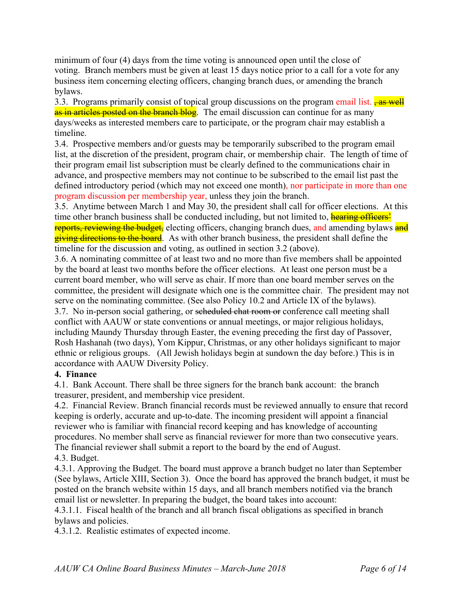minimum of four (4) days from the time voting is announced open until the close of voting. Branch members must be given at least 15 days notice prior to a call for a vote for any business item concerning electing officers, changing branch dues, or amending the branch bylaws.

3.3. Programs primarily consist of topical group discussions on the program email list.  $\frac{1}{2}$  as well as in articles posted on the branch blog. The email discussion can continue for as many days/weeks as interested members care to participate, or the program chair may establish a timeline.

3.4. Prospective members and/or guests may be temporarily subscribed to the program email list, at the discretion of the president, program chair, or membership chair. The length of time of their program email list subscription must be clearly defined to the communications chair in advance, and prospective members may not continue to be subscribed to the email list past the defined introductory period (which may not exceed one month), nor participate in more than one program discussion per membership year, unless they join the branch.

3.5. Anytime between March 1 and May 30, the president shall call for officer elections. At this time other branch business shall be conducted including, but not limited to, **hearing officers'** reports, reviewing the budget, electing officers, changing branch dues, and amending bylaws and giving directions to the board. As with other branch business, the president shall define the timeline for the discussion and voting, as outlined in section 3.2 (above).

3.6. A nominating committee of at least two and no more than five members shall be appointed by the board at least two months before the officer elections. At least one person must be a current board member, who will serve as chair. If more than one board member serves on the committee, the president will designate which one is the committee chair. The president may not serve on the nominating committee. (See also Policy 10.2 and Article IX of the bylaws). 3.7. No in-person social gathering, or scheduled chat room or conference call meeting shall conflict with AAUW or state conventions or annual meetings, or major religious holidays, including Maundy Thursday through Easter, the evening preceding the first day of Passover, Rosh Hashanah (two days), Yom Kippur, Christmas, or any other holidays significant to major ethnic or religious groups. (All Jewish holidays begin at sundown the day before.) This is in accordance with AAUW Diversity Policy.

## **4. Finance**

4.1. Bank Account. There shall be three signers for the branch bank account: the branch treasurer, president, and membership vice president.

4.2. Financial Review. Branch financial records must be reviewed annually to ensure that record keeping is orderly, accurate and up-to-date. The incoming president will appoint a financial reviewer who is familiar with financial record keeping and has knowledge of accounting procedures. No member shall serve as financial reviewer for more than two consecutive years. The financial reviewer shall submit a report to the board by the end of August.

## 4.3. Budget.

4.3.1. Approving the Budget. The board must approve a branch budget no later than September (See bylaws, Article XIII, Section 3). Once the board has approved the branch budget, it must be posted on the branch website within 15 days, and all branch members notified via the branch email list or newsletter. In preparing the budget, the board takes into account:

4.3.1.1. Fiscal health of the branch and all branch fiscal obligations as specified in branch bylaws and policies.

4.3.1.2. Realistic estimates of expected income.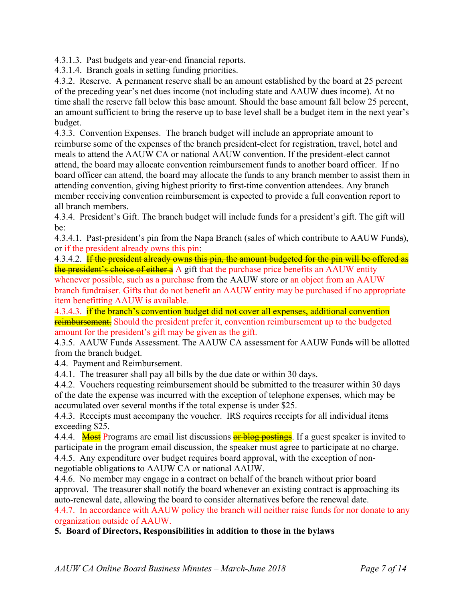4.3.1.3. Past budgets and year-end financial reports.

4.3.1.4. Branch goals in setting funding priorities.

4.3.2. Reserve. A permanent reserve shall be an amount established by the board at 25 percent of the preceding year's net dues income (not including state and AAUW dues income). At no time shall the reserve fall below this base amount. Should the base amount fall below 25 percent, an amount sufficient to bring the reserve up to base level shall be a budget item in the next year's budget.

4.3.3. Convention Expenses. The branch budget will include an appropriate amount to reimburse some of the expenses of the branch president-elect for registration, travel, hotel and meals to attend the AAUW CA or national AAUW convention. If the president-elect cannot attend, the board may allocate convention reimbursement funds to another board officer. If no board officer can attend, the board may allocate the funds to any branch member to assist them in attending convention, giving highest priority to first-time convention attendees. Any branch member receiving convention reimbursement is expected to provide a full convention report to all branch members.

4.3.4. President's Gift. The branch budget will include funds for a president's gift. The gift will be:

4.3.4.1. Past-president's pin from the Napa Branch (sales of which contribute to AAUW Funds), or if the president already owns this pin:

4.3.4.2. If the president already owns this pin, the amount budgeted for the pin will be offered as the president's choice of either a A gift that the purchase price benefits an AAUW entity whenever possible, such as a purchase from the AAUW store or an object from an AAUW branch fundraiser. Gifts that do not benefit an AAUW entity may be purchased if no appropriate item benefitting AAUW is available.

4.3.4.3. if the branch's convention budget did not cover all expenses, additional convention reimbursement. Should the president prefer it, convention reimbursement up to the budgeted amount for the president's gift may be given as the gift.

4.3.5. AAUW Funds Assessment. The AAUW CA assessment for AAUW Funds will be allotted from the branch budget.

4.4. Payment and Reimbursement.

4.4.1. The treasurer shall pay all bills by the due date or within 30 days.

4.4.2. Vouchers requesting reimbursement should be submitted to the treasurer within 30 days of the date the expense was incurred with the exception of telephone expenses, which may be accumulated over several months if the total expense is under \$25.

4.4.3. Receipts must accompany the voucher. IRS requires receipts for all individual items exceeding \$25.

4.4.4. Most Programs are email list discussions or blog postings. If a guest speaker is invited to participate in the program email discussion, the speaker must agree to participate at no charge. 4.4.5. Any expenditure over budget requires board approval, with the exception of nonnegotiable obligations to AAUW CA or national AAUW.

4.4.6. No member may engage in a contract on behalf of the branch without prior board approval. The treasurer shall notify the board whenever an existing contract is approaching its auto-renewal date, allowing the board to consider alternatives before the renewal date.

4.4.7. In accordance with AAUW policy the branch will neither raise funds for nor donate to any organization outside of AAUW.

**5. Board of Directors, Responsibilities in addition to those in the bylaws**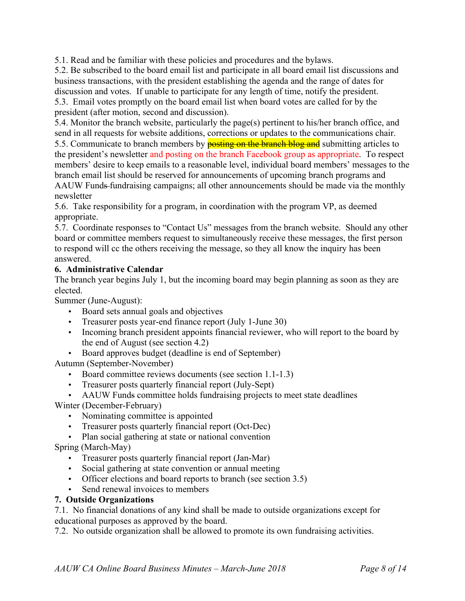5.1. Read and be familiar with these policies and procedures and the bylaws.

5.2. Be subscribed to the board email list and participate in all board email list discussions and business transactions, with the president establishing the agenda and the range of dates for discussion and votes. If unable to participate for any length of time, notify the president. 5.3. Email votes promptly on the board email list when board votes are called for by the president (after motion, second and discussion).

5.4. Monitor the branch website, particularly the page(s) pertinent to his/her branch office, and send in all requests for website additions, corrections or updates to the communications chair.

5.5. Communicate to branch members by **posting on the branch blog and** submitting articles to the president's newsletter and posting on the branch Facebook group as appropriate. To respect members' desire to keep emails to a reasonable level, individual board members' messages to the branch email list should be reserved for announcements of upcoming branch programs and AAUW Funds-fundraising campaigns; all other announcements should be made via the monthly newsletter

5.6. Take responsibility for a program, in coordination with the program VP, as deemed appropriate.

5.7. Coordinate responses to "Contact Us" messages from the branch website. Should any other board or committee members request to simultaneously receive these messages, the first person to respond will cc the others receiving the message, so they all know the inquiry has been answered.

### **6. Administrative Calendar**

The branch year begins July 1, but the incoming board may begin planning as soon as they are elected.

Summer (June-August):

- Board sets annual goals and objectives
- Treasurer posts year-end finance report (July 1-June 30)
- Incoming branch president appoints financial reviewer, who will report to the board by the end of August (see section 4.2)
- Board approves budget (deadline is end of September)

Autumn (September-November)

- Board committee reviews documents (see section 1.1-1.3)
- Treasurer posts quarterly financial report (July-Sept)
- AAUW Funds committee holds fundraising projects to meet state deadlines

Winter (December-February)

- Nominating committee is appointed
- Treasurer posts quarterly financial report (Oct-Dec)
- Plan social gathering at state or national convention

Spring (March-May)

- Treasurer posts quarterly financial report (Jan-Mar)
- Social gathering at state convention or annual meeting
- Officer elections and board reports to branch (see section 3.5)
- Send renewal invoices to members

#### **7. Outside Organizations**

7.1. No financial donations of any kind shall be made to outside organizations except for educational purposes as approved by the board.

7.2. No outside organization shall be allowed to promote its own fundraising activities.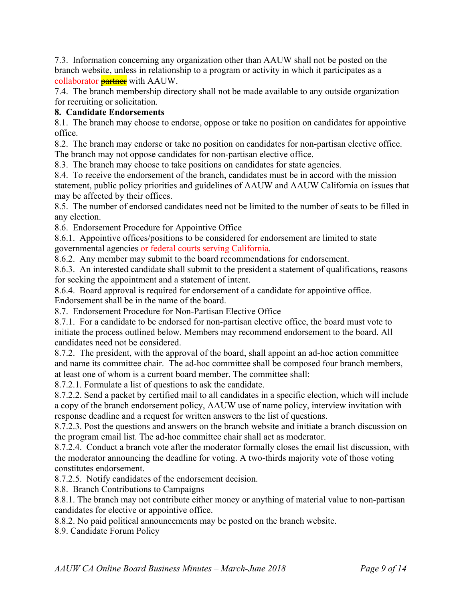7.3. Information concerning any organization other than AAUW shall not be posted on the branch website, unless in relationship to a program or activity in which it participates as a collaborator **partner** with AAUW.

7.4. The branch membership directory shall not be made available to any outside organization for recruiting or solicitation.

# **8. Candidate Endorsements**

8.1. The branch may choose to endorse, oppose or take no position on candidates for appointive office.

8.2. The branch may endorse or take no position on candidates for non-partisan elective office. The branch may not oppose candidates for non-partisan elective office.

8.3. The branch may choose to take positions on candidates for state agencies.

8.4. To receive the endorsement of the branch, candidates must be in accord with the mission statement, public policy priorities and guidelines of AAUW and AAUW California on issues that may be affected by their offices.

8.5. The number of endorsed candidates need not be limited to the number of seats to be filled in any election.

8.6. Endorsement Procedure for Appointive Office

8.6.1. Appointive offices/positions to be considered for endorsement are limited to state governmental agencies or federal courts serving California.

8.6.2. Any member may submit to the board recommendations for endorsement.

8.6.3. An interested candidate shall submit to the president a statement of qualifications, reasons for seeking the appointment and a statement of intent.

8.6.4. Board approval is required for endorsement of a candidate for appointive office.

Endorsement shall be in the name of the board.

8.7. Endorsement Procedure for Non-Partisan Elective Office

8.7.1. For a candidate to be endorsed for non-partisan elective office, the board must vote to initiate the process outlined below. Members may recommend endorsement to the board. All candidates need not be considered.

8.7.2. The president, with the approval of the board, shall appoint an ad-hoc action committee and name its committee chair. The ad-hoc committee shall be composed four branch members, at least one of whom is a current board member. The committee shall:

8.7.2.1. Formulate a list of questions to ask the candidate.

8.7.2.2. Send a packet by certified mail to all candidates in a specific election, which will include a copy of the branch endorsement policy, AAUW use of name policy, interview invitation with response deadline and a request for written answers to the list of questions.

8.7.2.3. Post the questions and answers on the branch website and initiate a branch discussion on the program email list. The ad-hoc committee chair shall act as moderator.

8.7.2.4. Conduct a branch vote after the moderator formally closes the email list discussion, with the moderator announcing the deadline for voting. A two-thirds majority vote of those voting constitutes endorsement.

8.7.2.5. Notify candidates of the endorsement decision.

8.8. Branch Contributions to Campaigns

8.8.1. The branch may not contribute either money or anything of material value to non-partisan candidates for elective or appointive office.

8.8.2. No paid political announcements may be posted on the branch website.

8.9. Candidate Forum Policy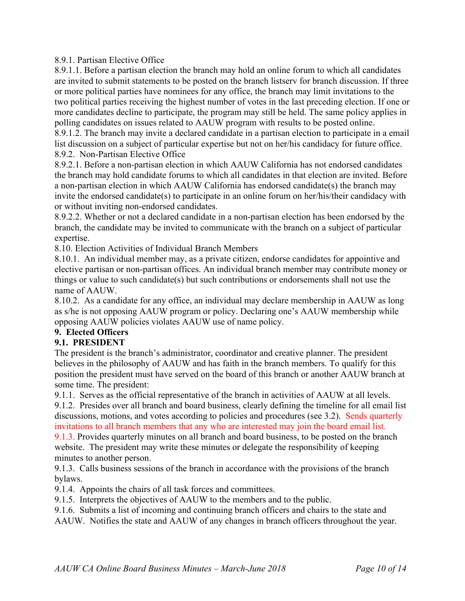### 8.9.1. Partisan Elective Office

8.9.1.1. Before a partisan election the branch may hold an online forum to which all candidates are invited to submit statements to be posted on the branch listserv for branch discussion. If three or more political parties have nominees for any office, the branch may limit invitations to the two political parties receiving the highest number of votes in the last preceding election. If one or more candidates decline to participate, the program may still be held. The same policy applies in polling candidates on issues related to AAUW program with results to be posted online.

8.9.1.2. The branch may invite a declared candidate in a partisan election to participate in a email list discussion on a subject of particular expertise but not on her/his candidacy for future office. 8.9.2. Non-Partisan Elective Office

8.9.2.1. Before a non-partisan election in which AAUW California has not endorsed candidates the branch may hold candidate forums to which all candidates in that election are invited. Before a non-partisan election in which AAUW California has endorsed candidate(s) the branch may invite the endorsed candidate(s) to participate in an online forum on her/his/their candidacy with or without inviting non-endorsed candidates.

8.9.2.2. Whether or not a declared candidate in a non-partisan election has been endorsed by the branch, the candidate may be invited to communicate with the branch on a subject of particular expertise.

8.10. Election Activities of Individual Branch Members

8.10.1. An individual member may, as a private citizen, endorse candidates for appointive and elective partisan or non-partisan offices. An individual branch member may contribute money or things or value to such candidate(s) but such contributions or endorsements shall not use the name of AAUW.

8.10.2. As a candidate for any office, an individual may declare membership in AAUW as long as s/he is not opposing AAUW program or policy. Declaring one's AAUW membership while opposing AAUW policies violates AAUW use of name policy.

# **9. Elected Officers**

## **9.1. PRESIDENT**

The president is the branch's administrator, coordinator and creative planner. The president believes in the philosophy of AAUW and has faith in the branch members. To qualify for this position the president must have served on the board of this branch or another AAUW branch at some time. The president:

9.1.1. Serves as the official representative of the branch in activities of AAUW at all levels.

9.1.2. Presides over all branch and board business, clearly defining the timeline for all email list discussions, motions, and votes according to policies and procedures (see 3.2). Sends quarterly invitations to all branch members that any who are interested may join the board email list.

9.1.3. Provides quarterly minutes on all branch and board business, to be posted on the branch website. The president may write these minutes or delegate the responsibility of keeping minutes to another person.

9.1.3. Calls business sessions of the branch in accordance with the provisions of the branch bylaws.

9.1.4. Appoints the chairs of all task forces and committees.

9.1.5. Interprets the objectives of AAUW to the members and to the public.

9.1.6. Submits a list of incoming and continuing branch officers and chairs to the state and

AAUW. Notifies the state and AAUW of any changes in branch officers throughout the year.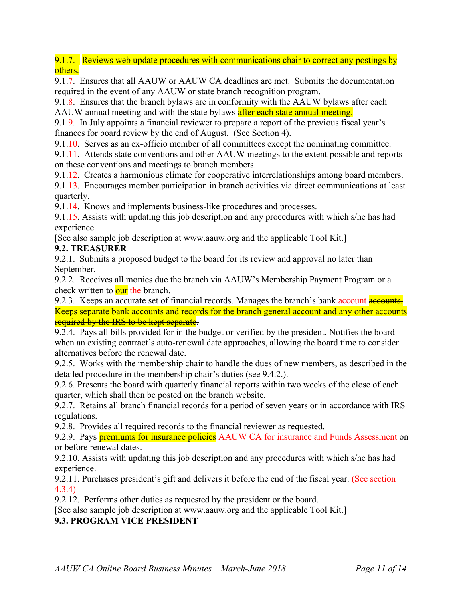9.1.7. Reviews web update procedures with communications chair to correct any postings by others.

9.1.7. Ensures that all AAUW or AAUW CA deadlines are met. Submits the documentation required in the event of any AAUW or state branch recognition program.

9.1.8. Ensures that the branch bylaws are in conformity with the AAUW bylaws after each AAUW annual meeting and with the state bylaws after each state annual meeting.

9.1.9. In July appoints a financial reviewer to prepare a report of the previous fiscal year's finances for board review by the end of August. (See Section 4).

9.1.10. Serves as an ex-officio member of all committees except the nominating committee.

9.1.11. Attends state conventions and other AAUW meetings to the extent possible and reports on these conventions and meetings to branch members.

9.1.12. Creates a harmonious climate for cooperative interrelationships among board members.

9.1.13. Encourages member participation in branch activities via direct communications at least quarterly.

9.1.14. Knows and implements business-like procedures and processes.

9.1.15. Assists with updating this job description and any procedures with which s/he has had experience.

[See also sample job description at www.aauw.org and the applicable Tool Kit.]

# **9.2. TREASURER**

9.2.1. Submits a proposed budget to the board for its review and approval no later than September.

9.2.2. Receives all monies due the branch via AAUW's Membership Payment Program or a check written to **our** the branch.

9.2.3. Keeps an accurate set of financial records. Manages the branch's bank account **accounts.** Keeps separate bank accounts and records for the branch general account and any other accounts required by the IRS to be kept separate.

9.2.4. Pays all bills provided for in the budget or verified by the president. Notifies the board when an existing contract's auto-renewal date approaches, allowing the board time to consider alternatives before the renewal date.

9.2.5. Works with the membership chair to handle the dues of new members, as described in the detailed procedure in the membership chair's duties (see 9.4.2.).

9.2.6. Presents the board with quarterly financial reports within two weeks of the close of each quarter, which shall then be posted on the branch website.

9.2.7. Retains all branch financial records for a period of seven years or in accordance with IRS regulations.

9.2.8. Provides all required records to the financial reviewer as requested.

9.2.9. Pays **premiums for insurance policies** AAUW CA for insurance and Funds Assessment on or before renewal dates.

9.2.10. Assists with updating this job description and any procedures with which s/he has had experience.

9.2.11. Purchases president's gift and delivers it before the end of the fiscal year. (See section 4.3.4)

9.2.12. Performs other duties as requested by the president or the board.

[See also sample job description at www.aauw.org and the applicable Tool Kit.]

# **9.3. PROGRAM VICE PRESIDENT**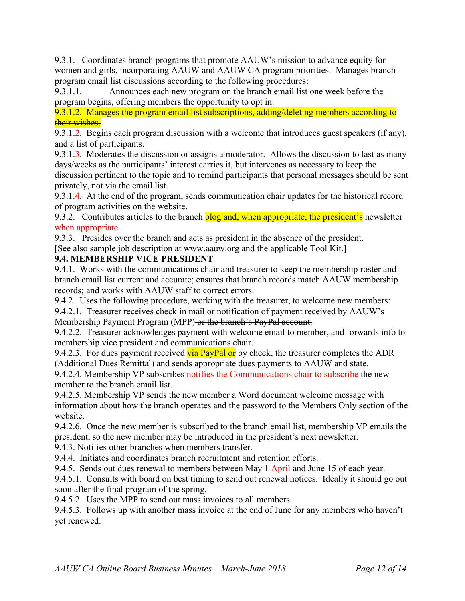9.3.1. Coordinates branch programs that promote AAUW's mission to advance equity for women and girls, incorporating AAUW and AAUW CA program priorities. Manages branch program email list discussions according to the following procedures:

9.3.1.1. Announces each new program on the branch email list one week before the program begins, offering members the opportunity to opt in.

9.3.1.2. Manages the program email list subscriptions, adding/deleting members according to their wishes.

9.3.1.2. Begins each program discussion with a welcome that introduces guest speakers (if any), and a list of participants.

9.3.1.3. Moderates the discussion or assigns a moderator. Allows the discussion to last as many days/weeks as the participants' interest carries it, but intervenes as necessary to keep the discussion pertinent to the topic and to remind participants that personal messages should be sent privately, not via the email list.

9.3.1.4. At the end of the program, sends communication chair updates for the historical record of program activities on the website.

9.3.2. Contributes articles to the branch **blog and, when appropriate, the president's** newsletter when appropriate.

9.3.3. Presides over the branch and acts as president in the absence of the president.

[See also sample job description at www.aauw.org and the applicable Tool Kit.]

## **9.4. MEMBERSHIP VICE PRESIDENT**

9.4.1. Works with the communications chair and treasurer to keep the membership roster and branch email list current and accurate; ensures that branch records match AAUW membership records; and works with AAUW staff to correct errors.

9.4.2. Uses the following procedure, working with the treasurer, to welcome new members:

9.4.2.1. Treasurer receives check in mail or notification of payment received by AAUW's Membership Payment Program (MPP) or the branch's PayPal account.

9.4.2.2. Treasurer acknowledges payment with welcome email to member, and forwards info to membership vice president and communications chair.

9.4.2.3. For dues payment received  $\frac{\overrightarrow{via} PayPal \overrightarrow{or}}{\overrightarrow{by}}$  check, the treasurer completes the ADR (Additional Dues Remittal) and sends appropriate dues payments to AAUW and state.

9.4.2.4. Membership VP subscribes notifies the Communications chair to subscribe the new member to the branch email list.

9.4.2.5. Membership VP sends the new member a Word document welcome message with information about how the branch operates and the password to the Members Only section of the website

9.4.2.6. Once the new member is subscribed to the branch email list, membership VP emails the president, so the new member may be introduced in the president's next newsletter.

9.4.3. Notifies other branches when members transfer.

9.4.4. Initiates and coordinates branch recruitment and retention efforts.

9.4.5. Sends out dues renewal to members between  $\text{May} + \text{April}$  and June 15 of each year.

9.4.5.1. Consults with board on best timing to send out renewal notices. Ideally it should go out soon after the final program of the spring.

9.4.5.2. Uses the MPP to send out mass invoices to all members.

9.4.5.3. Follows up with another mass invoice at the end of June for any members who haven't yet renewed.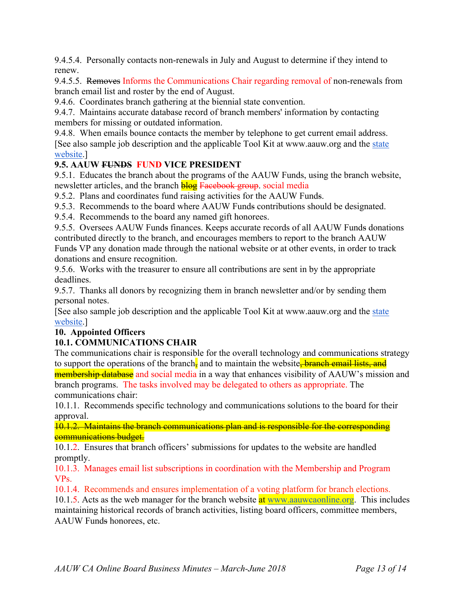9.4.5.4. Personally contacts non-renewals in July and August to determine if they intend to renew.

9.4.5.5. Removes Informs the Communications Chair regarding removal of non-renewals from branch email list and roster by the end of August.

9.4.6. Coordinates branch gathering at the biennial state convention.

9.4.7. Maintains accurate database record of branch members' information by contacting members for missing or outdated information.

9.4.8. When emails bounce contacts the member by telephone to get current email address. [See also sample job description and the applicable Tool Kit at www.aauw.org and the state website.]

# **9.5. AAUW FUNDS FUND VICE PRESIDENT**

9.5.1. Educates the branch about the programs of the AAUW Funds, using the branch website, newsletter articles, and the branch **blog** Facebook group, social media

9.5.2. Plans and coordinates fund raising activities for the AAUW Funds.

9.5.3. Recommends to the board where AAUW Funds contributions should be designated.

9.5.4. Recommends to the board any named gift honorees.

9.5.5. Oversees AAUW Funds finances. Keeps accurate records of all AAUW Funds donations contributed directly to the branch, and encourages members to report to the branch AAUW Funds VP any donation made through the national website or at other events, in order to track donations and ensure recognition.

9.5.6. Works with the treasurer to ensure all contributions are sent in by the appropriate deadlines.

9.5.7. Thanks all donors by recognizing them in branch newsletter and/or by sending them personal notes.

[See also sample job description and the applicable Tool Kit at www.aauw.org and the state website.]

## **10. Appointed Officers**

# **10.1. COMMUNICATIONS CHAIR**

The communications chair is responsible for the overall technology and communications strategy to support the operations of the branch, and to maintain the website, **branch email lists, and** 

membership database and social media in a way that enhances visibility of AAUW's mission and branch programs. The tasks involved may be delegated to others as appropriate. The communications chair:

10.1.1. Recommends specific technology and communications solutions to the board for their approval.

10.1.2. Maintains the branch communications plan and is responsible for the corresponding communications budget.

10.1.2. Ensures that branch officers' submissions for updates to the website are handled promptly.

10.1.3. Manages email list subscriptions in coordination with the Membership and Program VPs.

10.1.4. Recommends and ensures implementation of a voting platform for branch elections.

10.1.5. Acts as the web manager for the branch website at www.aauwcaonline.org. This includes maintaining historical records of branch activities, listing board officers, committee members, AAUW Funds honorees, etc.